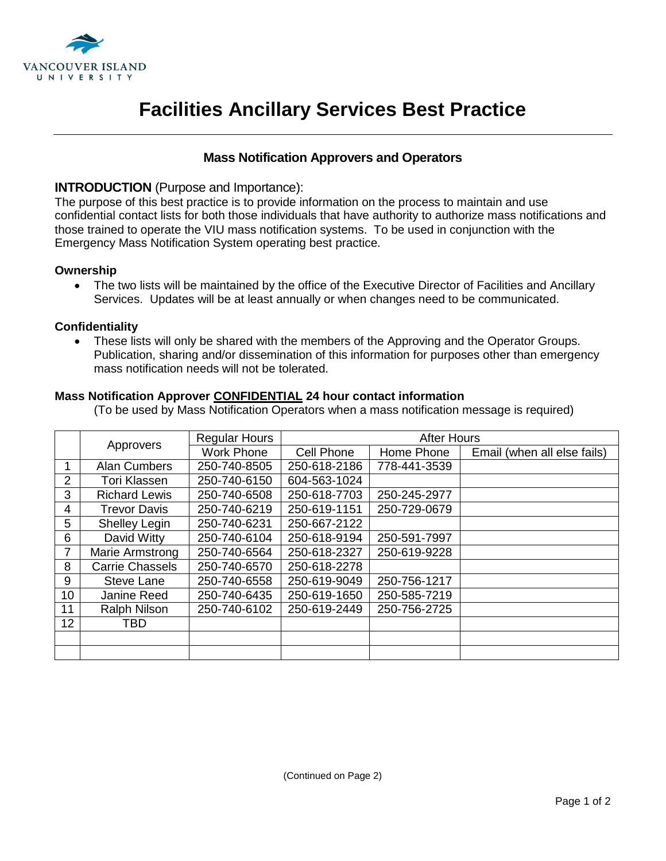

# **Facilities Ancillary Services Best Practice**

## **Mass Notification Approvers and Operators**

### **INTRODUCTION** (Purpose and Importance):

The purpose of this best practice is to provide information on the process to maintain and use confidential contact lists for both those individuals that have authority to authorize mass notifications and those trained to operate the VIU mass notification systems. To be used in conjunction with the Emergency Mass Notification System operating best practice.

#### **Ownership**

• The two lists will be maintained by the office of the Executive Director of Facilities and Ancillary Services. Updates will be at least annually or when changes need to be communicated.

#### **Confidentiality**

• These lists will only be shared with the members of the Approving and the Operator Groups. Publication, sharing and/or dissemination of this information for purposes other than emergency mass notification needs will not be tolerated.

#### **Mass Notification Approver CONFIDENTIAL 24 hour contact information**

(To be used by Mass Notification Operators when a mass notification message is required)

|                 | Approvers              | <b>Regular Hours</b> | <b>After Hours</b> |              |                             |
|-----------------|------------------------|----------------------|--------------------|--------------|-----------------------------|
|                 |                        | <b>Work Phone</b>    | Cell Phone         | Home Phone   | Email (when all else fails) |
|                 | Alan Cumbers           | 250-740-8505         | 250-618-2186       | 778-441-3539 |                             |
| 2               | <b>Tori Klassen</b>    | 250-740-6150         | 604-563-1024       |              |                             |
| 3               | <b>Richard Lewis</b>   | 250-740-6508         | 250-618-7703       | 250-245-2977 |                             |
| 4               | <b>Trevor Davis</b>    | 250-740-6219         | 250-619-1151       | 250-729-0679 |                             |
| 5               | <b>Shelley Legin</b>   | 250-740-6231         | 250-667-2122       |              |                             |
| 6               | David Witty            | 250-740-6104         | 250-618-9194       | 250-591-7997 |                             |
| $\overline{7}$  | Marie Armstrong        | 250-740-6564         | 250-618-2327       | 250-619-9228 |                             |
| 8               | <b>Carrie Chassels</b> | 250-740-6570         | 250-618-2278       |              |                             |
| 9               | Steve Lane             | 250-740-6558         | 250-619-9049       | 250-756-1217 |                             |
| 10 <sup>°</sup> | Janine Reed            | 250-740-6435         | 250-619-1650       | 250-585-7219 |                             |
| 11              | <b>Ralph Nilson</b>    | 250-740-6102         | 250-619-2449       | 250-756-2725 |                             |
| 12              | TBD                    |                      |                    |              |                             |
|                 |                        |                      |                    |              |                             |
|                 |                        |                      |                    |              |                             |